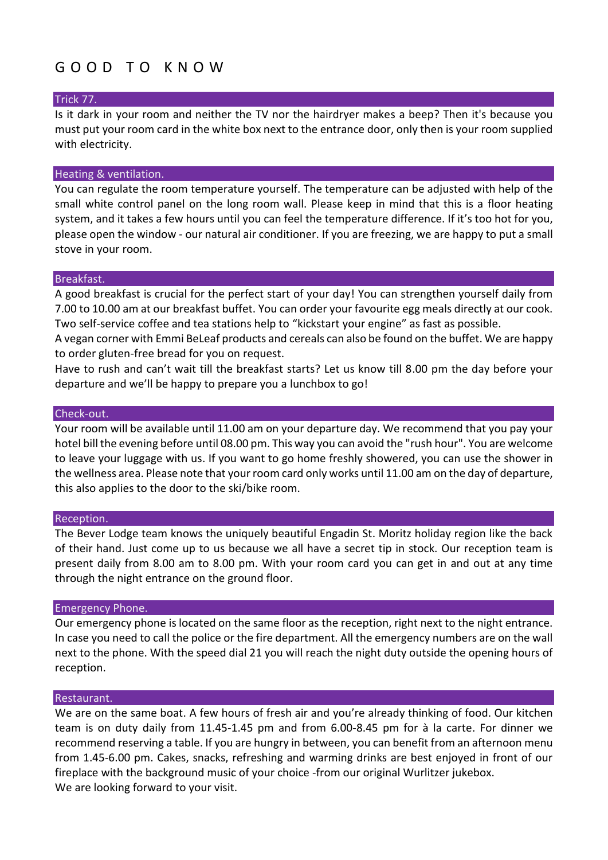## G O O D T O K N O W

## Trick 77.

Is it dark in your room and neither the TV nor the hairdryer makes a beep? Then it's because you must put your room card in the white box next to the entrance door, only then is your room supplied with electricity.

## Heating & ventilation.

You can regulate the room temperature yourself. The temperature can be adjusted with help of the small white control panel on the long room wall. Please keep in mind that this is a floor heating system, and it takes a few hours until you can feel the temperature difference. If it's too hot for you, please open the window - our natural air conditioner. If you are freezing, we are happy to put a small stove in your room.

#### Breakfast.

A good breakfast is crucial for the perfect start of your day! You can strengthen yourself daily from 7.00 to 10.00 am at our breakfast buffet. You can order your favourite egg meals directly at our cook. Two self-service coffee and tea stations help to "kickstart your engine" as fast as possible.

A vegan corner with Emmi BeLeaf products and cereals can also be found on the buffet. We are happy to order gluten-free bread for you on request.

Have to rush and can't wait till the breakfast starts? Let us know till 8.00 pm the day before your departure and we'll be happy to prepare you a lunchbox to go!

#### Check-out.

Your room will be available until 11.00 am on your departure day. We recommend that you pay your hotel bill the evening before until 08.00 pm. This way you can avoid the "rush hour". You are welcome to leave your luggage with us. If you want to go home freshly showered, you can use the shower in the wellness area. Please note that your room card only works until 11.00 am on the day of departure, this also applies to the door to the ski/bike room.

#### Reception.

The Bever Lodge team knows the uniquely beautiful Engadin St. Moritz holiday region like the back of their hand. Just come up to us because we all have a secret tip in stock. Our reception team is present daily from 8.00 am to 8.00 pm. With your room card you can get in and out at any time through the night entrance on the ground floor.

#### Emergency Phone.

Our emergency phone is located on the same floor as the reception, right next to the night entrance. In case you need to call the police or the fire department. All the emergency numbers are on the wall next to the phone. With the speed dial 21 you will reach the night duty outside the opening hours of reception.

#### Restaurant.

We are on the same boat. A few hours of fresh air and you're already thinking of food. Our kitchen team is on duty daily from 11.45-1.45 pm and from 6.00-8.45 pm for à la carte. For dinner we recommend reserving a table. If you are hungry in between, you can benefit from an afternoon menu from 1.45-6.00 pm. Cakes, snacks, refreshing and warming drinks are best enjoyed in front of our fireplace with the background music of your choice -from our original Wurlitzer jukebox. We are looking forward to your visit.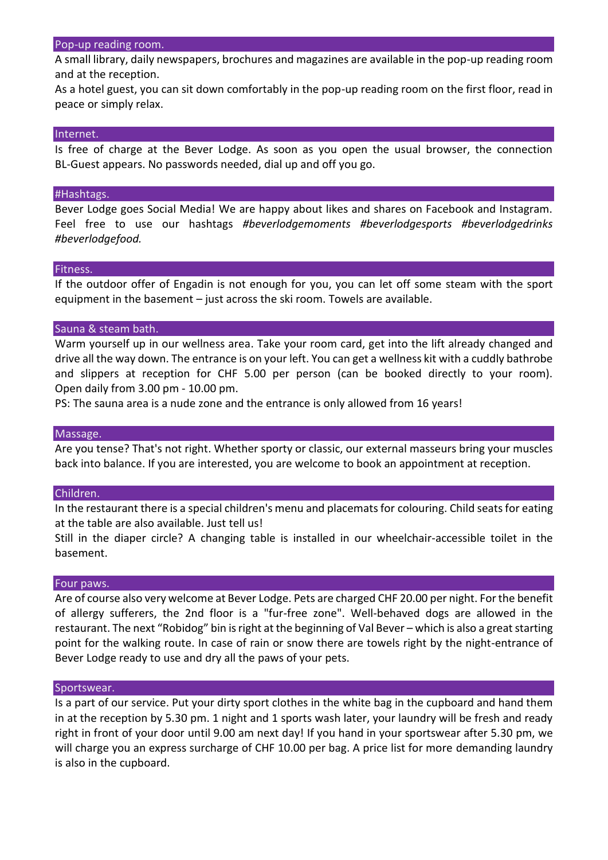#### Pop-up reading room.

A small library, daily newspapers, brochures and magazines are available in the pop-up reading room and at the reception.

As a hotel guest, you can sit down comfortably in the pop-up reading room on the first floor, read in peace or simply relax.

#### Internet.

Is free of charge at the Bever Lodge. As soon as you open the usual browser, the connection BL-Guest appears. No passwords needed, dial up and off you go.

#### #Hashtags.

Bever Lodge goes Social Media! We are happy about likes and shares on Facebook and Instagram. Feel free to use our hashtags *#beverlodgemoments #beverlodgesports #beverlodgedrinks #beverlodgefood.*

#### Fitness.

If the outdoor offer of Engadin is not enough for you, you can let off some steam with the sport equipment in the basement – just across the ski room. Towels are available.

#### Sauna & steam bath.

Warm yourself up in our wellness area. Take your room card, get into the lift already changed and drive all the way down. The entrance is on your left. You can get a wellness kit with a cuddly bathrobe and slippers at reception for CHF 5.00 per person (can be booked directly to your room). Open daily from 3.00 pm - 10.00 pm.

PS: The sauna area is a nude zone and the entrance is only allowed from 16 years!

#### Massage.

Are you tense? That's not right. Whether sporty or classic, our external masseurs bring your muscles back into balance. If you are interested, you are welcome to book an appointment at reception.

#### Children.

In the restaurant there is a special children's menu and placemats for colouring. Child seats for eating at the table are also available. Just tell us!

Still in the diaper circle? A changing table is installed in our wheelchair-accessible toilet in the basement.

#### Four paws.

Are of course also very welcome at Bever Lodge. Pets are charged CHF 20.00 per night. For the benefit of allergy sufferers, the 2nd floor is a "fur-free zone". Well-behaved dogs are allowed in the restaurant. The next "Robidog" bin is right at the beginning of Val Bever – which is also a great starting point for the walking route. In case of rain or snow there are towels right by the night-entrance of Bever Lodge ready to use and dry all the paws of your pets.

#### Sportswear.

Is a part of our service. Put your dirty sport clothes in the white bag in the cupboard and hand them in at the reception by 5.30 pm. 1 night and 1 sports wash later, your laundry will be fresh and ready right in front of your door until 9.00 am next day! If you hand in your sportswear after 5.30 pm, we will charge you an express surcharge of CHF 10.00 per bag. A price list for more demanding laundry is also in the cupboard.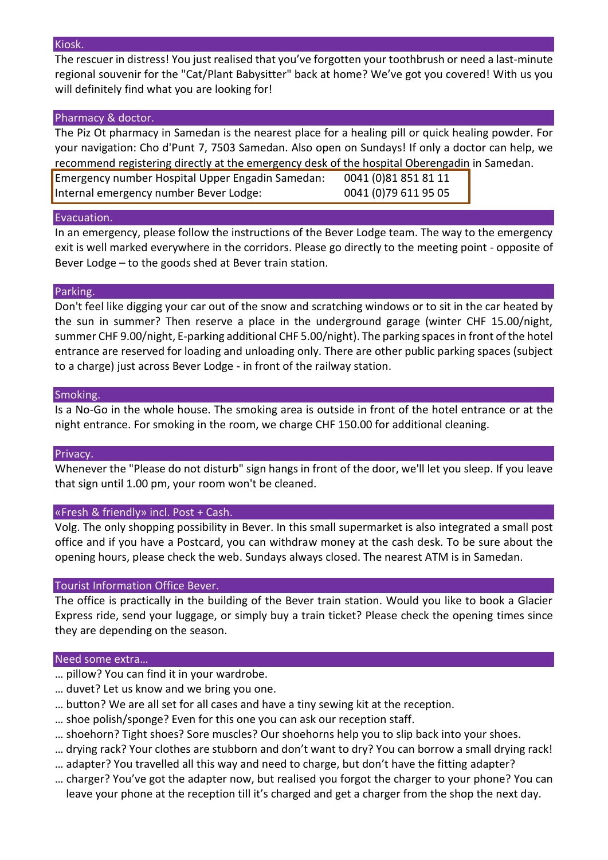#### Kiosk.

The rescuer in distress! You just realised that you've forgotten your toothbrush or need a last-minute regional souvenir for the "Cat/Plant Babysitter" back at home? We've got you covered! With us you will definitely find what you are looking for!

## Pharmacy & doctor.

The Piz Ot pharmacy in Samedan is the nearest place for a healing pill or quick healing powder. For your navigation: Cho d'Punt 7, 7503 Samedan. Also open on Sundays! If only a doctor can help, we recommend registering directly at the emergency desk of the hospital Oberengadin in Samedan.

Emergency number Hospital Upper Engadin Samedan: 0041 (0)81 851 81 11 Internal emergency number Bever Lodge: 0041 (0)79 611 95 05

## Evacuation.

In an emergency, please follow the instructions of the Bever Lodge team. The way to the emergency exit is well marked everywhere in the corridors. Please go directly to the meeting point - opposite of Bever Lodge – to the goods shed at Bever train station.

## Parking.

Don't feel like digging your car out of the snow and scratching windows or to sit in the car heated by the sun in summer? Then reserve a place in the underground garage (winter CHF 15.00/night, summer CHF 9.00/night, E-parking additional CHF 5.00/night). The parking spaces in front of the hotel entrance are reserved for loading and unloading only. There are other public parking spaces (subject to a charge) just across Bever Lodge - in front of the railway station.

## Smoking.

Is a No-Go in the whole house. The smoking area is outside in front of the hotel entrance or at the night entrance. For smoking in the room, we charge CHF 150.00 for additional cleaning.

## Privacy.

Whenever the "Please do not disturb" sign hangs in front of the door, we'll let you sleep. If you leave that sign until 1.00 pm, your room won't be cleaned.

## «Fresh & friendly» incl. Post + Cash.

Volg. The only shopping possibility in Bever. In this small supermarket is also integrated a small post office and if you have a Postcard, you can withdraw money at the cash desk. To be sure about the opening hours, please check the web. Sundays always closed. The nearest ATM is in Samedan.

## Tourist Information Office Bever.

The office is practically in the building of the Bever train station. Would you like to book a Glacier Express ride, send your luggage, or simply buy a train ticket? Please check the opening times since they are depending on the season.

## Need some extra…

- … pillow? You can find it in your wardrobe.
- … duvet? Let us know and we bring you one.
- … button? We are all set for all cases and have a tiny sewing kit at the reception.
- … shoe polish/sponge? Even for this one you can ask our reception staff.
- … shoehorn? Tight shoes? Sore muscles? Our shoehorns help you to slip back into your shoes.
- … drying rack? Your clothes are stubborn and don't want to dry? You can borrow a small drying rack!
- … adapter? You travelled all this way and need to charge, but don't have the fitting adapter?
- … charger? You've got the adapter now, but realised you forgot the charger to your phone? You can leave your phone at the reception till it's charged and get a charger from the shop the next day.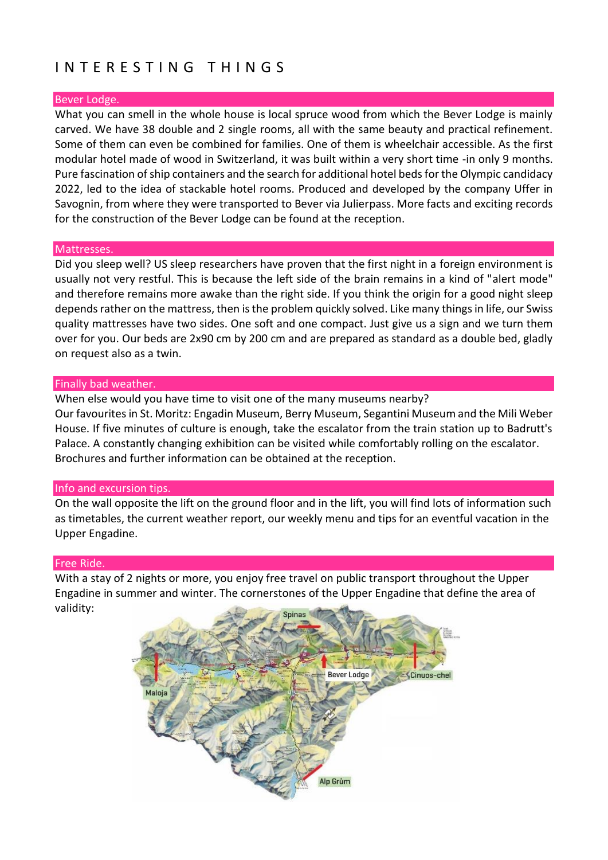# I N T E R E S T I N G T H I N G S

## Bever Lodge.

What you can smell in the whole house is local spruce wood from which the Bever Lodge is mainly carved. We have 38 double and 2 single rooms, all with the same beauty and practical refinement. Some of them can even be combined for families. One of them is wheelchair accessible. As the first modular hotel made of wood in Switzerland, it was built within a very short time -in only 9 months. Pure fascination of ship containers and the search for additional hotel beds for the Olympic candidacy 2022, led to the idea of stackable hotel rooms. Produced and developed by the company Uffer in Savognin, from where they were transported to Bever via Julierpass. More facts and exciting records for the construction of the Bever Lodge can be found at the reception.

## Mattresses.

Did you sleep well? US sleep researchers have proven that the first night in a foreign environment is usually not very restful. This is because the left side of the brain remains in a kind of "alert mode" and therefore remains more awake than the right side. If you think the origin for a good night sleep depends rather on the mattress, then is the problem quickly solved. Like many things in life, our Swiss quality mattresses have two sides. One soft and one compact. Just give us a sign and we turn them over for you. Our beds are 2x90 cm by 200 cm and are prepared as standard as a double bed, gladly on request also as a twin.

## Finally bad weather.

When else would you have time to visit one of the many museums nearby? Our favourites in St. Moritz: Engadin Museum, Berry Museum, Segantini Museum and the Mili Weber House. If five minutes of culture is enough, take the escalator from the train station up to Badrutt's Palace. A constantly changing exhibition can be visited while comfortably rolling on the escalator. Brochures and further information can be obtained at the reception.

## Info and excursion tips.

On the wall opposite the lift on the ground floor and in the lift, you will find lots of information such as timetables, the current weather report, our weekly menu and tips for an eventful vacation in the Upper Engadine.

## Free Ride.

With a stay of 2 nights or more, you enjoy free travel on public transport throughout the Upper Engadine in summer and winter. The cornerstones of the Upper Engadine that define the area of validity:

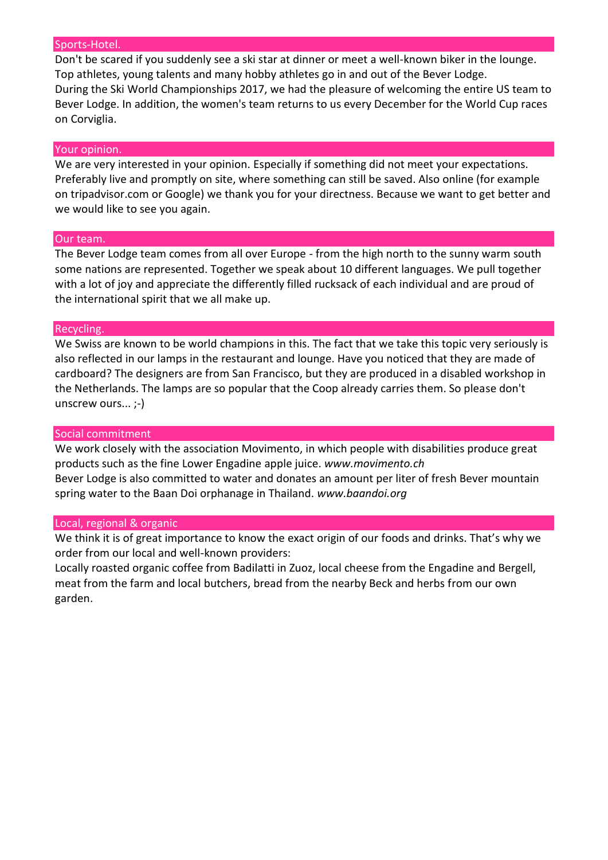#### Sports-Hotel.

Don't be scared if you suddenly see a ski star at dinner or meet a well-known biker in the lounge. Top athletes, young talents and many hobby athletes go in and out of the Bever Lodge. During the Ski World Championships 2017, we had the pleasure of welcoming the entire US team to Bever Lodge. In addition, the women's team returns to us every December for the World Cup races on Corviglia.

#### Your opinion.

We are very interested in your opinion. Especially if something did not meet your expectations. Preferably live and promptly on site, where something can still be saved. Also online (for example on tripadvisor.com or Google) we thank you for your directness. Because we want to get better and we would like to see you again.

#### Our team.

The Bever Lodge team comes from all over Europe - from the high north to the sunny warm south some nations are represented. Together we speak about 10 different languages. We pull together with a lot of joy and appreciate the differently filled rucksack of each individual and are proud of the international spirit that we all make up.

#### Recycling.

We Swiss are known to be world champions in this. The fact that we take this topic very seriously is also reflected in our lamps in the restaurant and lounge. Have you noticed that they are made of cardboard? The designers are from San Francisco, but they are produced in a disabled workshop in the Netherlands. The lamps are so popular that the Coop already carries them. So please don't unscrew ours... ;-)

#### Social commitment

We work closely with the association Movimento, in which people with disabilities produce great products such as the fine Lower Engadine apple juice. *www.movimento.ch* Bever Lodge is also committed to water and donates an amount per liter of fresh Bever mountain spring water to the Baan Doi orphanage in Thailand. *www.baandoi.org*

#### Local, regional & organic

We think it is of great importance to know the exact origin of our foods and drinks. That's why we order from our local and well-known providers:

Locally roasted organic coffee from Badilatti in Zuoz, local cheese from the Engadine and Bergell, meat from the farm and local butchers, bread from the nearby Beck and herbs from our own garden.